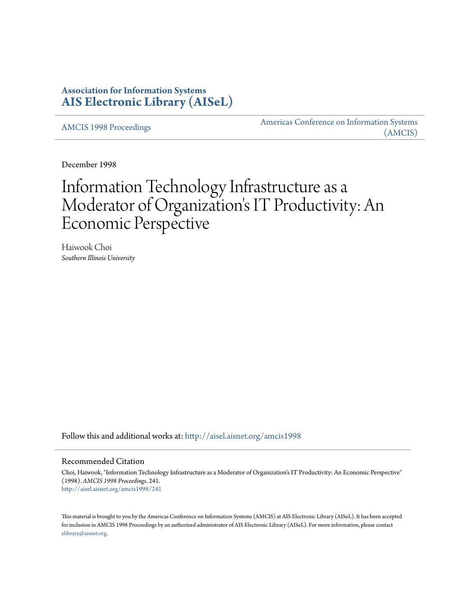# **Association for Information Systems [AIS Electronic Library \(AISeL\)](http://aisel.aisnet.org?utm_source=aisel.aisnet.org%2Famcis1998%2F241&utm_medium=PDF&utm_campaign=PDFCoverPages)**

[AMCIS 1998 Proceedings](http://aisel.aisnet.org/amcis1998?utm_source=aisel.aisnet.org%2Famcis1998%2F241&utm_medium=PDF&utm_campaign=PDFCoverPages)

[Americas Conference on Information Systems](http://aisel.aisnet.org/amcis?utm_source=aisel.aisnet.org%2Famcis1998%2F241&utm_medium=PDF&utm_campaign=PDFCoverPages) [\(AMCIS\)](http://aisel.aisnet.org/amcis?utm_source=aisel.aisnet.org%2Famcis1998%2F241&utm_medium=PDF&utm_campaign=PDFCoverPages)

December 1998

# Information Technology Infrastructure as a Moderator of Organization's IT Productivity: An Economic Perspective

Haiwook Choi *Southern Illinois University*

Follow this and additional works at: [http://aisel.aisnet.org/amcis1998](http://aisel.aisnet.org/amcis1998?utm_source=aisel.aisnet.org%2Famcis1998%2F241&utm_medium=PDF&utm_campaign=PDFCoverPages)

## Recommended Citation

Choi, Haiwook, "Information Technology Infrastructure as a Moderator of Organization's IT Productivity: An Economic Perspective" (1998). *AMCIS 1998 Proceedings*. 241. [http://aisel.aisnet.org/amcis1998/241](http://aisel.aisnet.org/amcis1998/241?utm_source=aisel.aisnet.org%2Famcis1998%2F241&utm_medium=PDF&utm_campaign=PDFCoverPages)

This material is brought to you by the Americas Conference on Information Systems (AMCIS) at AIS Electronic Library (AISeL). It has been accepted for inclusion in AMCIS 1998 Proceedings by an authorized administrator of AIS Electronic Library (AISeL). For more information, please contact [elibrary@aisnet.org.](mailto:elibrary@aisnet.org%3E)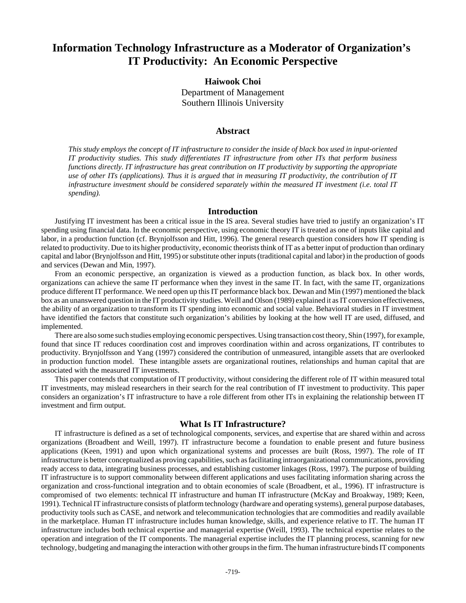# **Information Technology Infrastructure as a Moderator of Organization's IT Productivity: An Economic Perspective**

# **Haiwook Choi**

Department of Management Southern Illinois University

# **Abstract**

*This study employs the concept of IT infrastructure to consider the inside of black box used in input-oriented IT productivity studies. This study differentiates IT infrastructure from other ITs that perform business functions directly. IT infrastructure has great contribution on IT productivity by supporting the appropriate use of other ITs (applications). Thus it is argued that in measuring IT productivity, the contribution of IT infrastructure investment should be considered separately within the measured IT investment (i.e. total IT spending).*

#### **Introduction**

Justifying IT investment has been a critical issue in the IS area. Several studies have tried to justify an organization's IT spending using financial data. In the economic perspective, using economic theory IT is treated as one of inputs like capital and labor, in a production function (cf. Brynjolfsson and Hitt, 1996). The general research question considers how IT spending is related to productivity. Due to its higher productivity, economic theorists think of IT as a better input of production than ordinary capital and labor (Brynjolfsson and Hitt, 1995) or substitute other inputs (traditional capital and labor) in the production of goods and services (Dewan and Min, 1997).

From an economic perspective, an organization is viewed as a production function, as black box. In other words, organizations can achieve the same IT performance when they invest in the same IT. In fact, with the same IT, organizations produce different IT performance. We need open up this IT performance black box. Dewan and Min (1997) mentioned the black box as an unanswered question in the IT productivity studies. Weill and Olson (1989) explained it as IT conversion effectiveness, the ability of an organization to transform its IT spending into economic and social value. Behavioral studies in IT investment have identified the factors that constitute such organization's abilities by looking at the how well IT are used, diffused, and implemented.

There are also some such studies employing economic perspectives. Using transaction cost theory, Shin (1997), for example, found that since IT reduces coordination cost and improves coordination within and across organizations, IT contributes to productivity. Brynjolfsson and Yang (1997) considered the contribution of unmeasured, intangible assets that are overlooked in production function model. These intangible assets are organizational routines, relationships and human capital that are associated with the measured IT investments.

This paper contends that computation of IT productivity, without considering the different role of IT within measured total IT investments, may mislead researchers in their search for the real contribution of IT investment to productivity. This paper considers an organization's IT infrastructure to have a role different from other ITs in explaining the relationship between IT investment and firm output.

#### **What Is IT Infrastructure?**

IT infrastructure is defined as a set of technological components, services, and expertise that are shared within and across organizations (Broadbent and Weill, 1997). IT infrastructure become a foundation to enable present and future business applications (Keen, 1991) and upon which organizational systems and processes are built (Ross, 1997). The role of IT infrastructure is better conceptualized as proving capabilities, such as facilitating intraorganizational communications, providing ready access to data, integrating business processes, and establishing customer linkages (Ross, 1997). The purpose of building IT infrastructure is to support commonality between different applications and uses facilitating information sharing across the organization and cross-functional integration and to obtain economies of scale (Broadbent, et al., 1996). IT infrastructure is compromised of two elements: technical IT infrastructure and human IT infrastructure (McKay and Broakway, 1989; Keen, 1991). Technical IT infrastructure consists of platform technology (hardware and operating systems), general purpose databases, productivity tools such as CASE, and network and telecommunication technologies that are commodities and readily available in the marketplace. Human IT infrastructure includes human knowledge, skills, and experience relative to IT. The human IT infrastructure includes both technical expertise and managerial expertise (Weill, 1993). The technical expertise relates to the operation and integration of the IT components. The managerial expertise includes the IT planning process, scanning for new technology, budgeting and managing the interaction with other groups in the firm. The human infrastructure binds IT components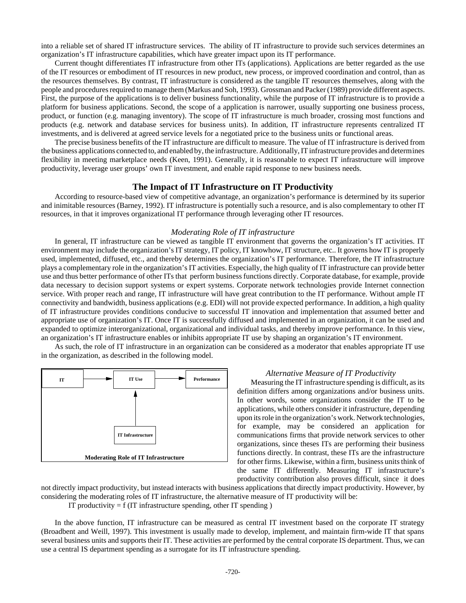into a reliable set of shared IT infrastructure services. The ability of IT infrastructure to provide such services determines an organization's IT infrastructure capabilities, which have greater impact upon its IT performance.

Current thought differentiates IT infrastructure from other ITs (applications). Applications are better regarded as the use of the IT resources or embodiment of IT resources in new product, new process, or improved coordination and control, than as the resources themselves. By contrast, IT infrastructure is considered as the tangible IT resources themselves, along with the people and procedures required to manage them (Markus and Soh, 1993). Grossman and Packer (1989) provide different aspects. First, the purpose of the applications is to deliver business functionality, while the purpose of IT infrastructure is to provide a platform for business applications. Second, the scope of a application is narrower, usually supporting one business process, product, or function (e.g. managing inventory). The scope of IT infrastructure is much broader, crossing most functions and products (e.g. network and database services for business units). In addition, IT infrastructure represents centralized IT investments, and is delivered at agreed service levels for a negotiated price to the business units or functional areas.

The precise business benefits of the IT infrastructure are difficult to measure. The value of IT infrastructure is derived from the business applications connected to, and enabled by, the infrastructure. Additionally, IT infrastructure provides and determines flexibility in meeting marketplace needs (Keen, 1991). Generally, it is reasonable to expect IT infrastructure will improve productivity, leverage user groups' own IT investment, and enable rapid response to new business needs.

#### **The Impact of IT Infrastructure on IT Productivity**

According to resource-based view of competitive advantage, an organization's performance is determined by its superior and inimitable resources (Barney, 1992). IT infrastructure is potentially such a resource, and is also complementary to other IT resources, in that it improves organizational IT performance through leveraging other IT resources.

#### *Moderating Role of IT infrastructure*

In general, IT infrastructure can be viewed as tangible IT environment that governs the organization's IT activities. IT environment may include the organization's IT strategy, IT policy, IT knowhow, IT structure, etc.. It governs how IT is properly used, implemented, diffused, etc., and thereby determines the organization's IT performance. Therefore, the IT infrastructure plays a complementary role in the organization's IT activities. Especially, the high quality of IT infrastructure can provide better use and thus better performance of other ITs that perform business functions directly. Corporate database, for example, provide data necessary to decision support systems or expert systems. Corporate network technologies provide Internet connection service. With proper reach and range, IT infrastructure will have great contribution to the IT performance. Without ample IT connectivity and bandwidth, business applications (e.g. EDI) will not provide expected performance. In addition, a high quality of IT infrastructure provides conditions conducive to successful IT innovation and implementation that assumed better and appropriate use of organization's IT. Once IT is successfully diffused and implemented in an organization, it can be used and expanded to optimize interorganizational, organizational and individual tasks, and thereby improve performance. In this view, an organization's IT infrastructure enables or inhibits appropriate IT use by shaping an organization's IT environment.

As such, the role of IT infrastructure in an organization can be considered as a moderator that enables appropriate IT use in the organization, as described in the following model.



#### *Alternative Measure of IT Productivity*

Measuring the IT infrastructure spending is difficult, as its definition differs among organizations and/or business units. In other words, some organizations consider the IT to be applications, while others consider it infrastructure, depending upon its role in the organization's work. Network technologies, for example, may be considered an application for communications firms that provide network services to other organizations, since theses ITs are performing their business functions directly. In contrast, these ITs are the infrastructure for other firms. Likewise, within a firm, business units think of the same IT differently. Measuring IT infrastructure's productivity contribution also proves difficult, since it does

not directly impact productivity, but instead interacts with business applications that directly impact productivity. However, by considering the moderating roles of IT infrastructure, the alternative measure of IT productivity will be:

IT productivity  $= f$  (IT infrastructure spending, other IT spending)

In the above function, IT infrastructure can be measured as central IT investment based on the corporate IT strategy (Broadbent and Weill, 1997). This investment is usually made to develop, implement, and maintain firm-wide IT that spans several business units and supports their IT. These activities are performed by the central corporate IS department. Thus, we can use a central IS department spending as a surrogate for its IT infrastructure spending.